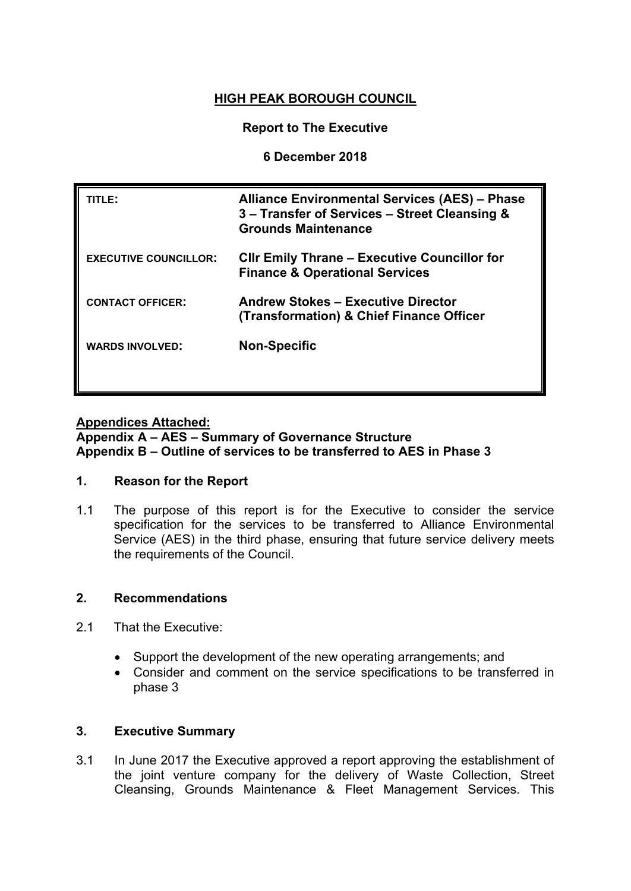# **HIGH PEAK BOROUGH COUNCIL**

## **Report to The Executive**

## **6 December 2018**

| TITLE:                       | <b>Alliance Environmental Services (AES) - Phase</b><br>3 - Transfer of Services - Street Cleansing &<br><b>Grounds Maintenance</b> |
|------------------------------|-------------------------------------------------------------------------------------------------------------------------------------|
| <b>EXECUTIVE COUNCILLOR:</b> | <b>CIIr Emily Thrane – Executive Councillor for</b><br><b>Finance &amp; Operational Services</b>                                    |
| <b>CONTACT OFFICER:</b>      | <b>Andrew Stokes - Executive Director</b><br>(Transformation) & Chief Finance Officer                                               |
| <b>WARDS INVOLVED:</b>       | <b>Non-Specific</b>                                                                                                                 |
|                              |                                                                                                                                     |

## **Appendices Attached:**

## **Appendix A – AES – Summary of Governance Structure Appendix B – Outline of services to be transferred to AES in Phase 3**

## **1. Reason for the Report**

1.1 The purpose of this report is for the Executive to consider the service specification for the services to be transferred to Alliance Environmental Service (AES) in the third phase, ensuring that future service delivery meets the requirements of the Council.

## **2. Recommendations**

- 2.1 That the Executive:
	- Support the development of the new operating arrangements; and
	- Consider and comment on the service specifications to be transferred in phase 3

## **3. Executive Summary**

3.1 In June 2017 the Executive approved a report approving the establishment of the joint venture company for the delivery of Waste Collection, Street Cleansing, Grounds Maintenance & Fleet Management Services. This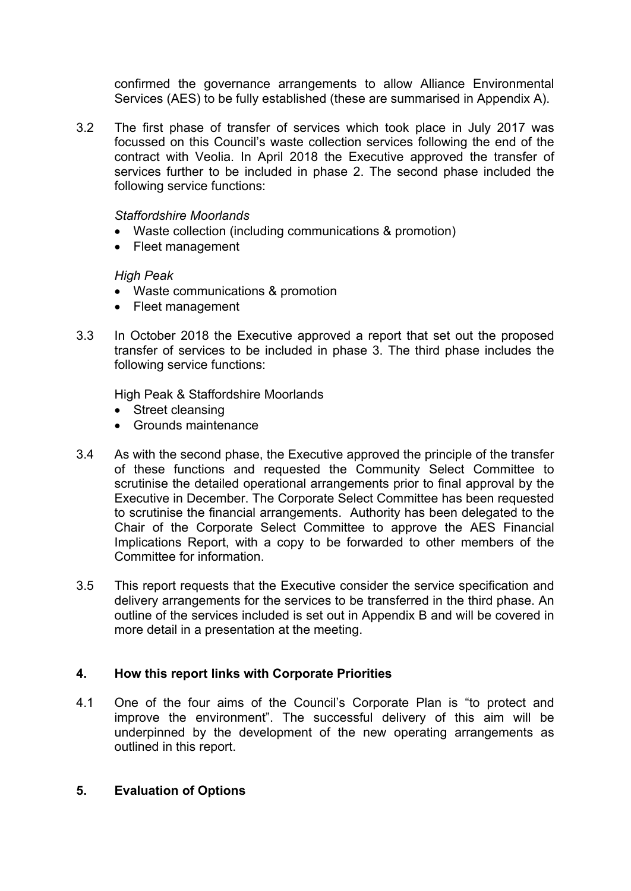confirmed the governance arrangements to allow Alliance Environmental Services (AES) to be fully established (these are summarised in Appendix A).

3.2 The first phase of transfer of services which took place in July 2017 was focussed on this Council's waste collection services following the end of the contract with Veolia. In April 2018 the Executive approved the transfer of services further to be included in phase 2. The second phase included the following service functions:

## *Staffordshire Moorlands*

- Waste collection (including communications & promotion)
- Fleet management

#### *High Peak*

- Waste communications & promotion
- Fleet management
- 3.3 In October 2018 the Executive approved a report that set out the proposed transfer of services to be included in phase 3. The third phase includes the following service functions:

High Peak & Staffordshire Moorlands

- Street cleansing
- Grounds maintenance
- 3.4 As with the second phase, the Executive approved the principle of the transfer of these functions and requested the Community Select Committee to scrutinise the detailed operational arrangements prior to final approval by the Executive in December. The Corporate Select Committee has been requested to scrutinise the financial arrangements. Authority has been delegated to the Chair of the Corporate Select Committee to approve the AES Financial Implications Report, with a copy to be forwarded to other members of the Committee for information.
- 3.5 This report requests that the Executive consider the service specification and delivery arrangements for the services to be transferred in the third phase. An outline of the services included is set out in Appendix B and will be covered in more detail in a presentation at the meeting.

## **4. How this report links with Corporate Priorities**

4.1 One of the four aims of the Council's Corporate Plan is "to protect and improve the environment". The successful delivery of this aim will be underpinned by the development of the new operating arrangements as outlined in this report.

#### **5. Evaluation of Options**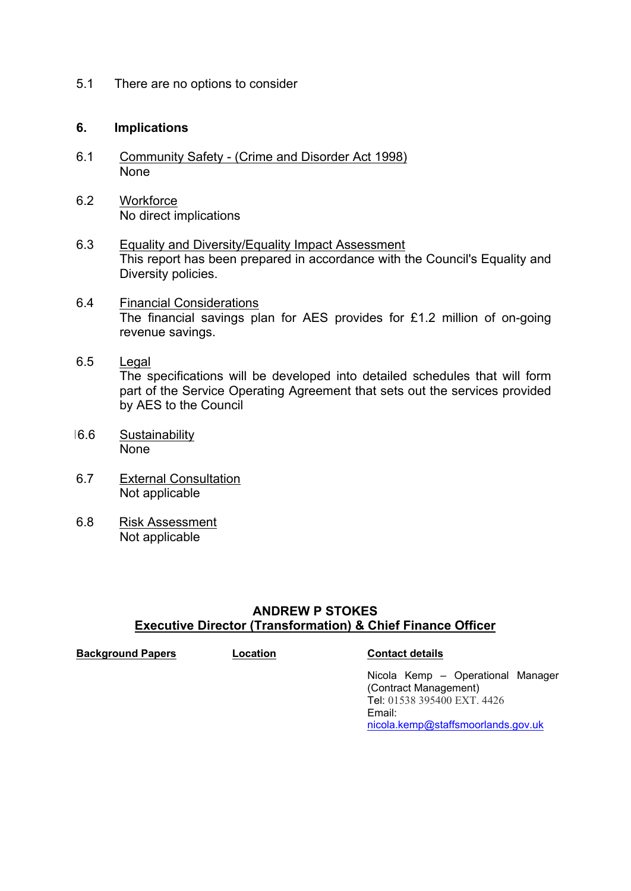5.1 There are no options to consider

#### **6. Implications**

- 6.1 Community Safety (Crime and Disorder Act 1998) None
- 6.2 Workforce No direct implications
- 6.3 Equality and Diversity/Equality Impact Assessment This report has been prepared in accordance with the Council's Equality and Diversity policies.
- 6.4 Financial Considerations The financial savings plan for AES provides for £1.2 million of on-going revenue savings.
- 6.5 Legal The specifications will be developed into detailed schedules that will form part of the Service Operating Agreement that sets out the services provided by AES to the Council
- 16.6 Sustainability None
- 6.7 External Consultation Not applicable
- 6.8 Risk Assessment Not applicable

# **ANDREW P STOKES Executive Director (Transformation) & Chief Finance Officer**

**Background Papers Location Contact details**

Nicola Kemp – Operational Manager (Contract Management) Tel: 01538 395400 EXT. 4426 Email: [nicola.kemp@staffsmoorlands.gov.uk](mailto:nicola.kemp@staffsmoorlands.gov.uk)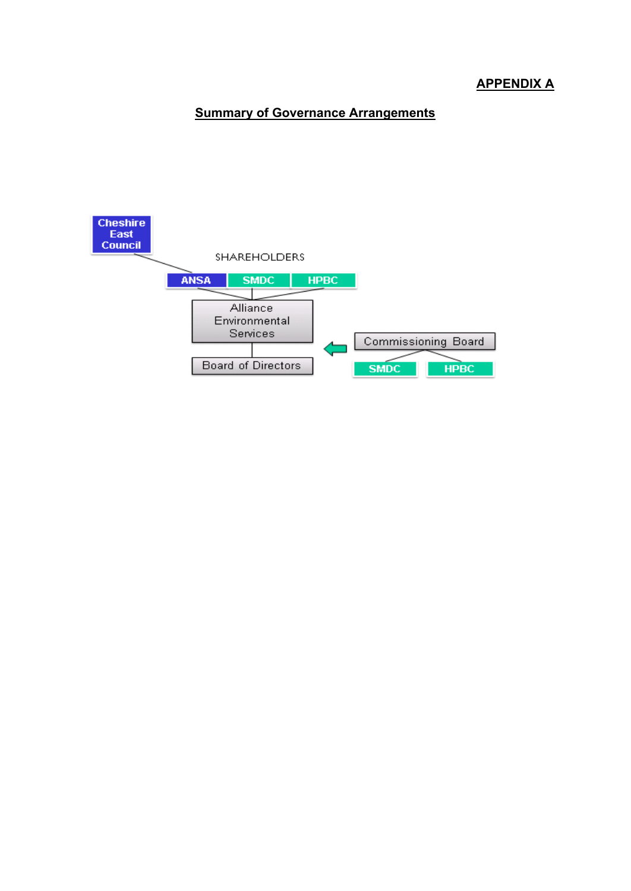# **APPENDIX A**

# **Summary of Governance Arrangements**

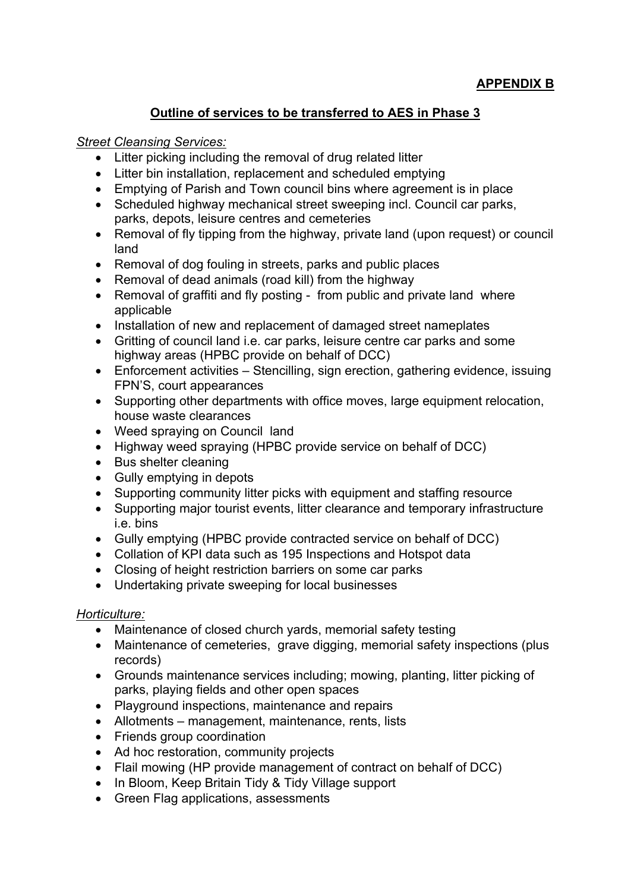# **Outline of services to be transferred to AES in Phase 3**

# *Street Cleansing Services:*

- Litter picking including the removal of drug related litter
- Litter bin installation, replacement and scheduled emptying
- Emptying of Parish and Town council bins where agreement is in place
- Scheduled highway mechanical street sweeping incl. Council car parks, parks, depots, leisure centres and cemeteries
- Removal of fly tipping from the highway, private land (upon request) or council land
- Removal of dog fouling in streets, parks and public places
- Removal of dead animals (road kill) from the highway
- Removal of graffiti and fly posting from public and private land where applicable
- Installation of new and replacement of damaged street nameplates
- Gritting of council land i.e. car parks, leisure centre car parks and some highway areas (HPBC provide on behalf of DCC)
- Enforcement activities Stencilling, sign erection, gathering evidence, issuing FPN'S, court appearances
- Supporting other departments with office moves, large equipment relocation, house waste clearances
- Weed spraying on Council land
- Highway weed spraying (HPBC provide service on behalf of DCC)
- Bus shelter cleaning
- Gully emptying in depots
- Supporting community litter picks with equipment and staffing resource
- Supporting major tourist events, litter clearance and temporary infrastructure i.e. bins
- Gully emptying (HPBC provide contracted service on behalf of DCC)
- Collation of KPI data such as 195 Inspections and Hotspot data
- Closing of height restriction barriers on some car parks
- Undertaking private sweeping for local businesses

# *Horticulture:*

- Maintenance of closed church yards, memorial safety testing
- Maintenance of cemeteries, grave digging, memorial safety inspections (plus records)
- Grounds maintenance services including; mowing, planting, litter picking of parks, playing fields and other open spaces
- Playground inspections, maintenance and repairs
- Allotments management, maintenance, rents, lists
- Friends group coordination
- Ad hoc restoration, community projects
- Flail mowing (HP provide management of contract on behalf of DCC)
- In Bloom, Keep Britain Tidy & Tidy Village support
- Green Flag applications, assessments